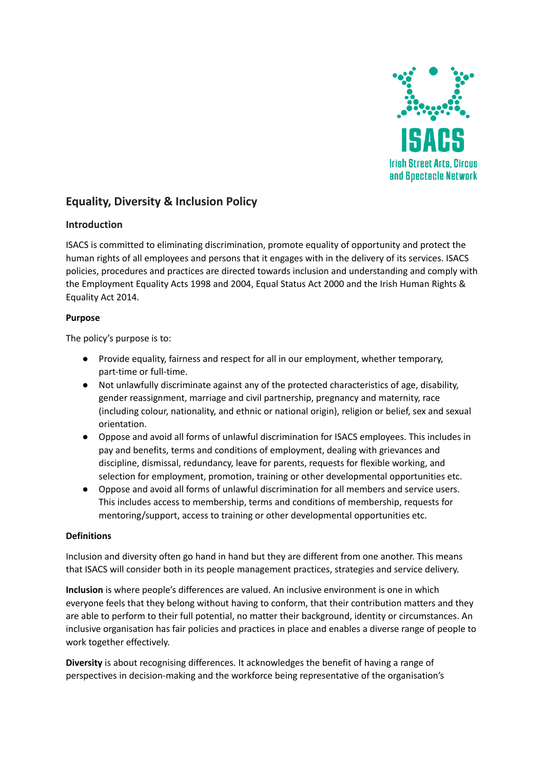

# **Equality, Diversity & Inclusion Policy**

## **Introduction**

ISACS is committed to eliminating discrimination, promote equality of opportunity and protect the human rights of all employees and persons that it engages with in the delivery of its services. ISACS policies, procedures and practices are directed towards inclusion and understanding and comply with the Employment Equality Acts 1998 and 2004, Equal Status Act 2000 and the Irish Human Rights & Equality Act 2014.

## **Purpose**

The policy's purpose is to:

- Provide equality, fairness and respect for all in our employment, whether temporary, part-time or full-time.
- Not unlawfully discriminate against any of the protected characteristics of age, disability, gender reassignment, marriage and civil partnership, pregnancy and maternity, race (including colour, nationality, and ethnic or national origin), religion or belief, sex and sexual orientation.
- Oppose and avoid all forms of unlawful discrimination for ISACS employees. This includes in pay and benefits, terms and conditions of employment, dealing with grievances and discipline, dismissal, redundancy, leave for parents, requests for flexible working, and selection for employment, promotion, training or other developmental opportunities etc.
- Oppose and avoid all forms of unlawful discrimination for all members and service users. This includes access to membership, terms and conditions of membership, requests for mentoring/support, access to training or other developmental opportunities etc.

## **Definitions**

Inclusion and diversity often go hand in hand but they are different from one another. This means that ISACS will consider both in its people management practices, strategies and service delivery.

**Inclusion** is where people's differences are valued. An inclusive environment is one in which everyone feels that they belong without having to conform, that their contribution matters and they are able to perform to their full potential, no matter their background, identity or circumstances. An inclusive organisation has fair policies and practices in place and enables a diverse range of people to work together effectively.

**Diversity** is about recognising differences. It acknowledges the benefit of having a range of perspectives in decision-making and the workforce being representative of the organisation's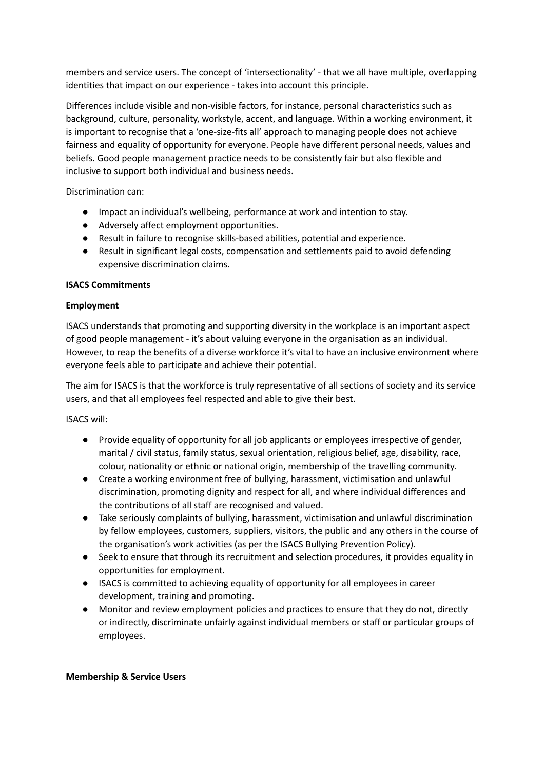members and service users. The concept of 'intersectionality' - that we all have multiple, overlapping identities that impact on our experience - takes into account this principle.

Differences include visible and non-visible factors, for instance, personal characteristics such as background, culture, personality, workstyle, accent, and language. Within a working environment, it is important to recognise that a 'one-size-fits all' approach to managing people does not achieve fairness and equality of opportunity for everyone. People have different personal needs, values and beliefs. Good people management practice needs to be consistently fair but also flexible and inclusive to support both individual and business needs.

Discrimination can:

- Impact an individual's wellbeing, performance at work and intention to stay.
- Adversely affect employment opportunities.
- Result in failure to recognise skills-based abilities, potential and experience.
- Result in significant legal costs, compensation and settlements paid to avoid defending expensive discrimination claims.

## **ISACS Commitments**

## **Employment**

ISACS understands that promoting and supporting diversity in the workplace is an important aspect of good people management - it's about valuing everyone in the organisation as an individual. However, to reap the benefits of a diverse workforce it's vital to have an inclusive environment where everyone feels able to participate and achieve their potential.

The aim for ISACS is that the workforce is truly representative of all sections of society and its service users, and that all employees feel respected and able to give their best.

ISACS will:

- Provide equality of opportunity for all job applicants or employees irrespective of gender, marital / civil status, family status, sexual orientation, religious belief, age, disability, race, colour, nationality or ethnic or national origin, membership of the travelling community.
- Create a working environment free of bullying, harassment, victimisation and unlawful discrimination, promoting dignity and respect for all, and where individual differences and the contributions of all staff are recognised and valued.
- Take seriously complaints of bullying, harassment, victimisation and unlawful discrimination by fellow employees, customers, suppliers, visitors, the public and any others in the course of the organisation's work activities (as per the ISACS Bullying Prevention Policy).
- Seek to ensure that through its recruitment and selection procedures, it provides equality in opportunities for employment.
- ISACS is committed to achieving equality of opportunity for all employees in career development, training and promoting.
- Monitor and review employment policies and practices to ensure that they do not, directly or indirectly, discriminate unfairly against individual members or staff or particular groups of employees.

#### **Membership & Service Users**